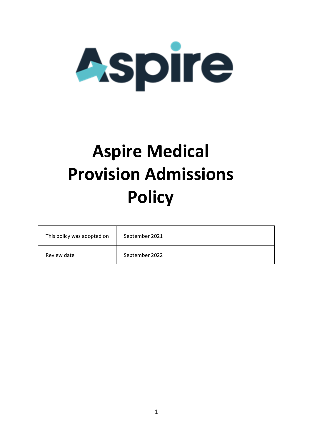

# **Aspire Medical Provision Admissions Policy**

| This policy was adopted on | September 2021 |
|----------------------------|----------------|
| Review date                | September 2022 |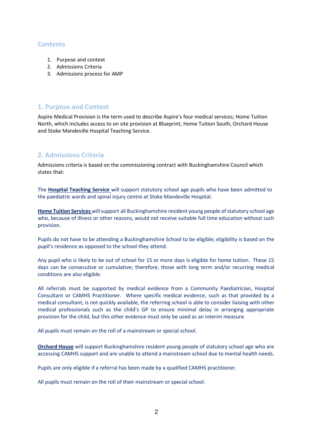#### **Contents**

- 1. Purpose and context
- 2. Admissions Criteria
- 3. Admissions process for AMP

#### **1. Purpose and Context**

Aspire Medical Provision is the term used to describe Aspire's four medical services; Home Tuition North, which includes access to on site provision at Blueprint, Home Tuition South, Orchard House and Stoke Mandeville Hospital Teaching Service.

## **2. Admissions Criteria**

Admissions criteria is based on the commissioning contract with Buckinghamshire Council which states that:

The **Hospital Teaching Service** will support statutory school age pupils who have been admitted to the paediatric wards and spinal injury centre at Stoke Mandeville Hospital.

**Home Tuition Services** will support all Buckinghamshire resident young people of statutory school age who, because of illness or other reasons, would not receive suitable full time education without such provision.

Pupils do not have to be attending a Buckinghamshire School to be eligible; eligibility is based on the pupil's residence as opposed to the school they attend.

Any pupil who is likely to be out of school for 15 or more days is eligible for home tuition. These 15 days can be consecutive or cumulative; therefore, those with long term and/or recurring medical conditions are also eligible.

All referrals must be supported by medical evidence from a Community Paediatrician, Hospital Consultant or CAMHS Practitioner. Where specific medical evidence, such as that provided by a medical consultant, is not quickly available, the referring school is able to consider liaising with other medical professionals such as the child's GP to ensure minimal delay in arranging appropriate provision for the child, but this other evidence must only be used as an interim measure.

All pupils must remain on the roll of a mainstream or special school.

**Orchard House** will support Buckinghamshire resident young people of statutory school age who are accessing CAMHS support and are unable to attend a mainstream school due to mental health needs.

Pupils are only eligible if a referral has been made by a qualified CAMHS practitioner.

All pupils must remain on the roll of their mainstream or special school.